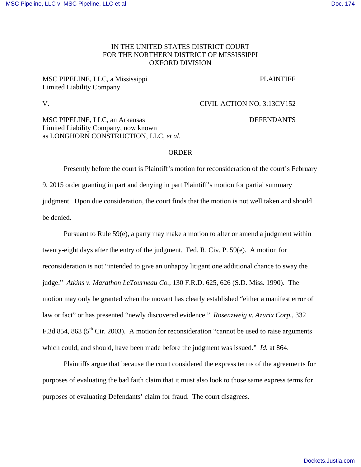### IN THE UNITED STATES DISTRICT COURT FOR THE NORTHERN DISTRICT OF MISSISSIPPI OXFORD DIVISION

# MSC PIPELINE, LLC, a Mississippi PLAINTIFF Limited Liability Company

# V. CIVIL ACTION NO. 3:13CV152

MSC PIPELINE, LLC, an Arkansas DEFENDANTS Limited Liability Company, now known as LONGHORN CONSTRUCTION, LLC, *et al.* 

#### ORDER

 Presently before the court is Plaintiff's motion for reconsideration of the court's February 9, 2015 order granting in part and denying in part Plaintiff's motion for partial summary judgment. Upon due consideration, the court finds that the motion is not well taken and should be denied.

 Pursuant to Rule 59(e), a party may make a motion to alter or amend a judgment within twenty-eight days after the entry of the judgment. Fed. R. Civ. P. 59(e). A motion for reconsideration is not "intended to give an unhappy litigant one additional chance to sway the judge." *Atkins v. Marathon LeTourneau Co.*, 130 F.R.D. 625, 626 (S.D. Miss. 1990). The motion may only be granted when the movant has clearly established "either a manifest error of law or fact" or has presented "newly discovered evidence." *Rosenzweig v. Azurix Corp.*, 332 F.3d 854, 863 ( $5<sup>th</sup>$  Cir. 2003). A motion for reconsideration "cannot be used to raise arguments which could, and should, have been made before the judgment was issued." *Id.* at 864.

Plaintiffs argue that because the court considered the express terms of the agreements for purposes of evaluating the bad faith claim that it must also look to those same express terms for purposes of evaluating Defendants' claim for fraud. The court disagrees.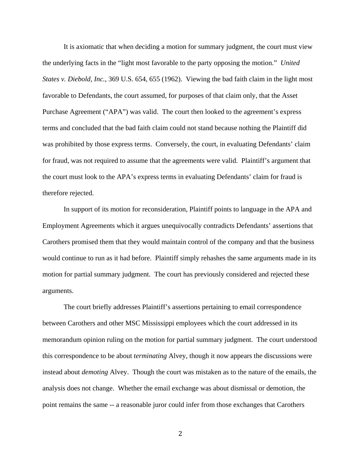It is axiomatic that when deciding a motion for summary judgment, the court must view the underlying facts in the "light most favorable to the party opposing the motion." *United States v. Diebold, Inc.*, 369 U.S. 654, 655 (1962). Viewing the bad faith claim in the light most favorable to Defendants, the court assumed, for purposes of that claim only, that the Asset Purchase Agreement ("APA") was valid. The court then looked to the agreement's express terms and concluded that the bad faith claim could not stand because nothing the Plaintiff did was prohibited by those express terms. Conversely, the court, in evaluating Defendants' claim for fraud, was not required to assume that the agreements were valid. Plaintiff's argument that the court must look to the APA's express terms in evaluating Defendants' claim for fraud is therefore rejected.

In support of its motion for reconsideration, Plaintiff points to language in the APA and Employment Agreements which it argues unequivocally contradicts Defendants' assertions that Carothers promised them that they would maintain control of the company and that the business would continue to run as it had before. Plaintiff simply rehashes the same arguments made in its motion for partial summary judgment. The court has previously considered and rejected these arguments.

 The court briefly addresses Plaintiff's assertions pertaining to email correspondence between Carothers and other MSC Mississippi employees which the court addressed in its memorandum opinion ruling on the motion for partial summary judgment. The court understood this correspondence to be about *terminating* Alvey, though it now appears the discussions were instead about *demoting* Alvey. Though the court was mistaken as to the nature of the emails, the analysis does not change. Whether the email exchange was about dismissal or demotion, the point remains the same -- a reasonable juror could infer from those exchanges that Carothers

に